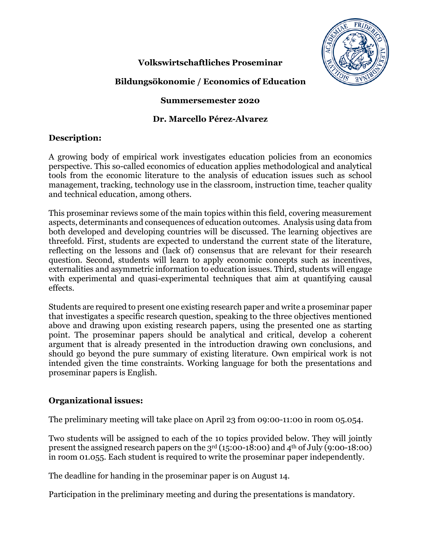

# **Volkswirtschaftliches Proseminar**

# **Bildungsökonomie / Economics of Education**

## **Summersemester 2020**

## **Dr. Marcello Pérez-Alvarez**

## **Description:**

A growing body of empirical work investigates education policies from an economics perspective. This so-called economics of education applies methodological and analytical tools from the economic literature to the analysis of education issues such as school management, tracking, technology use in the classroom, instruction time, teacher quality and technical education, among others.

This proseminar reviews some of the main topics within this field, covering measurement aspects, determinants and consequences of education outcomes. Analysis using data from both developed and developing countries will be discussed. The learning objectives are threefold. First, students are expected to understand the current state of the literature, reflecting on the lessons and (lack of) consensus that are relevant for their research question. Second, students will learn to apply economic concepts such as incentives, externalities and asymmetric information to education issues. Third, students will engage with experimental and quasi-experimental techniques that aim at quantifying causal effects.

Students are required to present one existing research paper and write a proseminar paper that investigates a specific research question, speaking to the three objectives mentioned above and drawing upon existing research papers, using the presented one as starting point. The proseminar papers should be analytical and critical, develop a coherent argument that is already presented in the introduction drawing own conclusions, and should go beyond the pure summary of existing literature. Own empirical work is not intended given the time constraints. Working language for both the presentations and proseminar papers is English.

## **Organizational issues:**

The preliminary meeting will take place on April 23 from 09:00-11:00 in room 05.054.

Two students will be assigned to each of the 10 topics provided below. They will jointly present the assigned research papers on the  $3<sup>rd</sup> (15:00-18:00)$  and  $4<sup>th</sup>$  of July (9:00-18:00) in room 01.055. Each student is required to write the proseminar paper independently.

The deadline for handing in the proseminar paper is on August 14.

Participation in the preliminary meeting and during the presentations is mandatory.